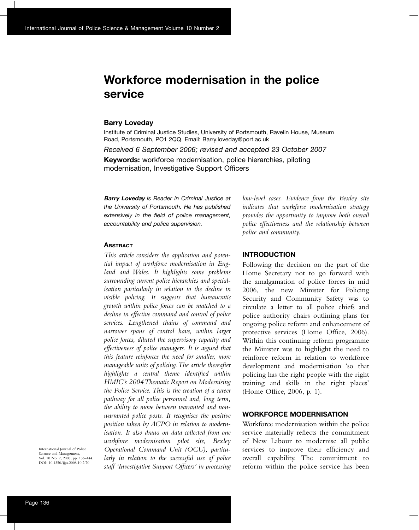# **Workforce modernisation in the police service**

#### **Barry Loveday**

Institute of Criminal Justice Studies, University of Portsmouth, Ravelin House, Museum Road, Portsmouth, PO1 2QQ. Email: Barry.loveday@port.ac.uk

*Received 6 September 2006; revised and accepted 23 October 2007*

**Keywords:** workforce modernisation, police hierarchies, piloting modernisation, Investigative Support Officers

**Barry Loveday** *is Reader in Criminal Justice at the University of Portsmouth. He has published extensively in the field of police management, accountability and police supervision.*

#### **ABSTRACT**

*This article considers the application and potential impact of workforce modernisation in England and Wales. It highlights some problems surrounding current police hierarchies and specialisation particularly in relation to the decline in visible policing. It suggests that bureaucratic growth within police forces can be matched to a decline in effective command and control of police services. Lengthened chains of command and narrower spans of control have, within larger police forces, diluted the supervisory capacity and effectiveness of police managers. It is argued that this feature reinforces the need for smaller, more manageable units of policing. The article thereafter highlights a central theme identified within HMIC's 2004 Thematic Report on Modernising the Police Service. This is the creation of a career pathway for all police personnel and, long term, the ability to move between warranted and nonwarranted police posts. It recognises the positive position taken by ACPO in relation to modernisation. It also draws on data collected from one workforce modernisation pilot site, Bexley Operational Command Unit (OCU), particularly in relation to the successful use of police staff 'Investigative Support Officers' in processing*

*low-level cases. Evidence from the Bexley site indicates that workforce modernisation strategy provides the opportunity to improve both overall police effectiveness and the relationship between police and community.*

### **INTRODUCTION**

Following the decision on the part of the Home Secretary not to go forward with the amalgamation of police forces in mid 2006, the new Minister for Policing Security and Community Safety was to circulate a letter to all police chiefs and police authority chairs outlining plans for ongoing police reform and enhancement of protective services (Home Office, 2006). Within this continuing reform programme the Minister was to highlight the need to reinforce reform in relation to workforce development and modernisation 'so that policing has the right people with the right training and skills in the right places' (Home Office, 2006, p. 1).

#### **WORKFORCE MODERNISATION**

Workforce modernisation within the police service materially reflects the commitment of New Labour to modernise all public services to improve their efficiency and overall capability. The commitment to reform within the police service has been

International Journal of Police Science and Management, Vol. 10 No. 2, 2008, pp. 136–144. DOI: 10.1350/ijps.2008.10.2.70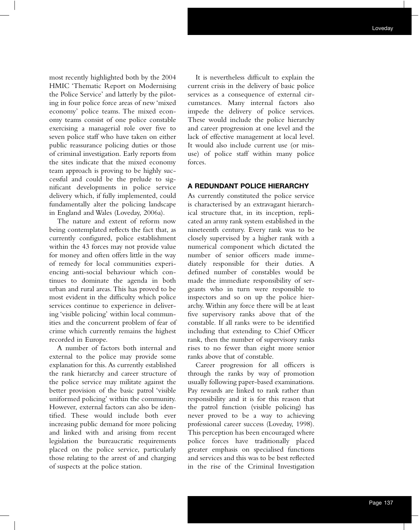most recently highlighted both by the 2004 HMIC 'Thematic Report on Modernising the Police Service' and latterly by the piloting in four police force areas of new 'mixed economy' police teams. The mixed economy teams consist of one police constable exercising a managerial role over five to seven police staff who have taken on either public reassurance policing duties or those of criminal investigation. Early reports from the sites indicate that the mixed economy team approach is proving to be highly successful and could be the prelude to significant developments in police service delivery which, if fully implemented, could fundamentally alter the policing landscape in England and Wales (Loveday, 2006a).

The nature and extent of reform now being contemplated reflects the fact that, as currently configured, police establishment within the 43 forces may not provide value for money and often offers little in the way of remedy for local communities experiencing anti-social behaviour which continues to dominate the agenda in both urban and rural areas. This has proved to be most evident in the difficulty which police services continue to experience in delivering 'visible policing' within local communities and the concurrent problem of fear of crime which currently remains the highest recorded in Europe.

A number of factors both internal and external to the police may provide some explanation for this. As currently established the rank hierarchy and career structure of the police service may militate against the better provision of the basic patrol 'visible uniformed policing' within the community. However, external factors can also be identified. These would include both ever increasing public demand for more policing and linked with and arising from recent legislation the bureaucratic requirements placed on the police service, particularly those relating to the arrest of and charging of suspects at the police station.

It is nevertheless difficult to explain the current crisis in the delivery of basic police services as a consequence of external circumstances. Many internal factors also impede the delivery of police services. These would include the police hierarchy and career progression at one level and the lack of effective management at local level. It would also include current use (or misuse) of police staff within many police forces.

# **A REDUNDANT POLICE HIERARCHY**

As currently constituted the police service is characterised by an extravagant hierarchical structure that, in its inception, replicated an army rank system established in the nineteenth century. Every rank was to be closely supervised by a higher rank with a numerical component which dictated the number of senior officers made immediately responsible for their duties. A defined number of constables would be made the immediate responsibility of sergeants who in turn were responsible to inspectors and so on up the police hierarchy. Within any force there will be at least five supervisory ranks above that of the constable. If all ranks were to be identified including that extending to Chief Officer rank, then the number of supervisory ranks rises to no fewer than eight more senior ranks above that of constable.

Career progression for all officers is through the ranks by way of promotion usually following paper-based examinations. Pay rewards are linked to rank rather than responsibility and it is for this reason that the patrol function (visible policing) has never proved to be a way to achieving professional career success (Loveday, 1998). This perception has been encouraged where police forces have traditionally placed greater emphasis on specialised functions and services and this was to be best reflected in the rise of the Criminal Investigation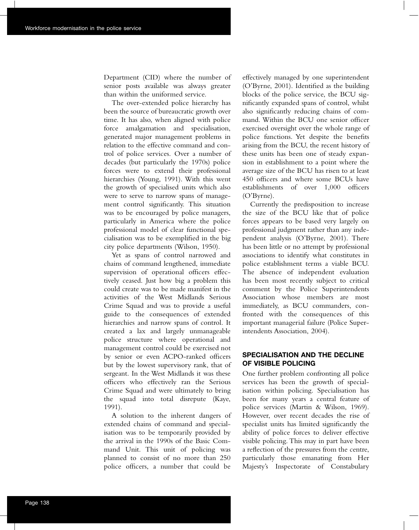Department (CID) where the number of senior posts available was always greater than within the uniformed service.

The over-extended police hierarchy has been the source of bureaucratic growth over time. It has also, when aligned with police force amalgamation and specialisation, generated major management problems in relation to the effective command and control of police services. Over a number of decades (but particularly the 1970s) police forces were to extend their professional hierarchies (Young, 1991). With this went the growth of specialised units which also were to serve to narrow spans of management control significantly. This situation was to be encouraged by police managers, particularly in America where the police professional model of clear functional specialisation was to be exemplified in the big city police departments (Wilson, 1950).

Yet as spans of control narrowed and chains of command lengthened, immediate supervision of operational officers effectively ceased. Just how big a problem this could create was to be made manifest in the activities of the West Midlands Serious Crime Squad and was to provide a useful guide to the consequences of extended hierarchies and narrow spans of control. It created a lax and largely unmanageable police structure where operational and management control could be exercised not by senior or even ACPO-ranked officers but by the lowest supervisory rank, that of sergeant. In the West Midlands it was these officers who effectively ran the Serious Crime Squad and were ultimately to bring the squad into total disrepute (Kaye, 1991).

A solution to the inherent dangers of extended chains of command and specialisation was to be temporarily provided by the arrival in the 1990s of the Basic Command Unit. This unit of policing was planned to consist of no more than 250 police officers, a number that could be

effectively managed by one superintendent (O'Byrne, 2001). Identified as the building blocks of the police service, the BCU significantly expanded spans of control, whilst also significantly reducing chains of command. Within the BCU one senior officer exercised oversight over the whole range of police functions. Yet despite the benefits arising from the BCU, the recent history of these units has been one of steady expansion in establishment to a point where the average size of the BCU has risen to at least 450 officers and where some BCUs have establishments of over 1,000 officers (O'Byrne).

Currently the predisposition to increase the size of the BCU like that of police forces appears to be based very largely on professional judgment rather than any independent analysis (O'Byrne, 2001). There has been little or no attempt by professional associations to identify what constitutes in police establishment terms a viable BCU. The absence of independent evaluation has been most recently subject to critical comment by the Police Superintendents Association whose members are most immediately, as BCU commanders, confronted with the consequences of this important managerial failure (Police Superintendents Association, 2004).

## **SPECIALISATION AND THE DECLINE OF VISIBLE POLICING**

One further problem confronting all police services has been the growth of specialisation within policing. Specialisation has been for many years a central feature of police services (Martin & Wilson, 1969). However, over recent decades the rise of specialist units has limited significantly the ability of police forces to deliver effective visible policing. This may in part have been a reflection of the pressures from the centre, particularly those emanating from Her Majesty's Inspectorate of Constabulary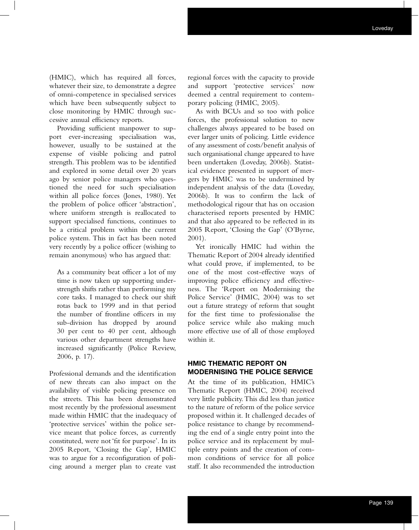(HMIC), which has required all forces, whatever their size, to demonstrate a degree of omni-competence in specialised services which have been subsequently subject to close monitoring by HMIC through successive annual efficiency reports.

Providing sufficient manpower to support ever-increasing specialisation was, however, usually to be sustained at the expense of visible policing and patrol strength. This problem was to be identified and explored in some detail over 20 years ago by senior police managers who questioned the need for such specialisation within all police forces (Jones, 1980). Yet the problem of police officer 'abstraction', where uniform strength is reallocated to support specialised functions, continues to be a critical problem within the current police system. This in fact has been noted very recently by a police officer (wishing to remain anonymous) who has argued that:

As a community beat officer a lot of my time is now taken up supporting understrength shifts rather than performing my core tasks. I managed to check our shift rotas back to 1999 and in that period the number of frontline officers in my sub-division has dropped by around 30 per cent to 40 per cent, although various other department strengths have increased significantly (Police Review, 2006, p. 17).

Professional demands and the identification of new threats can also impact on the availability of visible policing presence on the streets. This has been demonstrated most recently by the professional assessment made within HMIC that the inadequacy of 'protective services' within the police service meant that police forces, as currently constituted, were not 'fit for purpose'. In its 2005 Report, 'Closing the Gap', HMIC was to argue for a reconfiguration of policing around a merger plan to create vast

regional forces with the capacity to provide and support 'protective services' now deemed a central requirement to contemporary policing (HMIC, 2005).

As with BCUs and so too with police forces, the professional solution to new challenges always appeared to be based on ever larger units of policing. Little evidence of any assessment of costs/benefit analysis of such organisational change appeared to have been undertaken (Loveday, 2006b). Statistical evidence presented in support of mergers by HMIC was to be undermined by independent analysis of the data (Loveday, 2006b). It was to confirm the lack of methodological rigour that has on occasion characterised reports presented by HMIC and that also appeared to be reflected in its 2005 Report, 'Closing the Gap' (O'Byrne, 2001).

Yet ironically HMIC had within the Thematic Report of 2004 already identified what could prove, if implemented, to be one of the most cost-effective ways of improving police efficiency and effectiveness. The 'Report on Modernising the Police Service' (HMIC, 2004) was to set out a future strategy of reform that sought for the first time to professionalise the police service while also making much more effective use of all of those employed within it.

## **HMIC THEMATIC REPORT ON MODERNISING THE POLICE SERVICE**

At the time of its publication, HMIC's Thematic Report (HMIC, 2004) received very little publicity. This did less than justice to the nature of reform of the police service proposed within it. It challenged decades of police resistance to change by recommending the end of a single entry point into the police service and its replacement by multiple entry points and the creation of common conditions of service for all police staff. It also recommended the introduction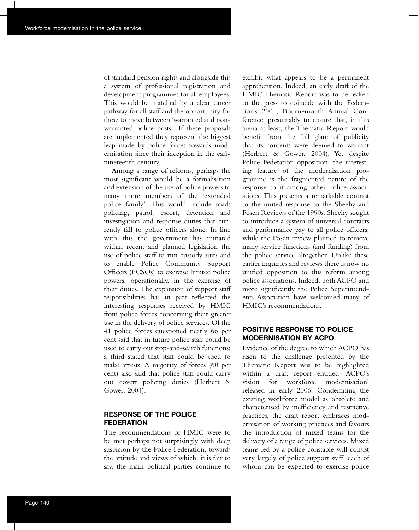of standard pension rights and alongside this a system of professional registration and development programmes for all employees. This would be matched by a clear career pathway for all staff and the opportunity for these to move between 'warranted and nonwarranted police posts'. If these proposals are implemented they represent the biggest leap made by police forces towards modernisation since their inception in the early nineteenth century.

Among a range of reforms, perhaps the most significant would be a formalisation and extension of the use of police powers to many more members of the 'extended police family'. This would include roads policing, patrol, escort, detention and investigation and response duties that currently fall to police officers alone. In line with this the government has initiated within recent and planned legislation the use of police staff to run custody suits and to enable Police Community Support Officers (PCSOs) to exercise limited police powers, operationally, in the exercise of their duties. The expansion of support staff responsibilities has in part reflected the interesting responses received by HMIC from police forces concerning their greater use in the delivery of police services. Of the 41 police forces questioned nearly 66 per cent said that in future police staff could be used to carry out stop-and-search functions; a third stated that staff could be used to make arrests. A majority of forces (60 per cent) also said that police staff could carry out covert policing duties (Herbert & Gower, 2004).

### **RESPONSE OF THE POLICE FEDERATION**

The recommendations of HMIC were to be met perhaps not surprisingly with deep suspicion by the Police Federation, towards the attitude and views of which, it is fair to say, the main political parties continue to exhibit what appears to be a permanent apprehension. Indeed, an early draft of the HMIC Thematic Report was to be leaked to the press to coincide with the Federation's 2004, Bournemouth Annual Conference, presumably to ensure that, in this arena at least, the Thematic Report would benefit from the full glare of publicity that its contents were deemed to warrant (Herbert & Gower, 2004). Yet despite Police Federation opposition, the interesting feature of the modernisation programme is the fragmented nature of the response to it among other police associations. This presents a remarkable contrast to the united response to the Sheehy and Posen Reviews of the 1990s. Sheehy sought to introduce a system of universal contracts and performance pay to all police officers, while the Posen review planned to remove many service functions (and funding) from the police service altogether. Unlike these earlier inquiries and reviews there is now no unified opposition to this reform among police associations. Indeed, both ACPO and more significantly the Police Superintendents Association have welcomed many of HMIC's recommendations.

## **POSITIVE RESPONSE TO POLICE MODERNISATION BY ACPO**

Evidence of the degree to which ACPO has risen to the challenge presented by the Thematic Report was to be highlighted within a draft report entitled 'ACPO's vision for workforce modernisation' released in early 2006. Condemning the existing workforce model as obsolete and characterised by inefficiency and restrictive practices, the draft report embraces modernisation of working practices and favours the introduction of mixed teams for the delivery of a range of police services. Mixed teams led by a police constable will consist very largely of police support staff, each of whom can be expected to exercise police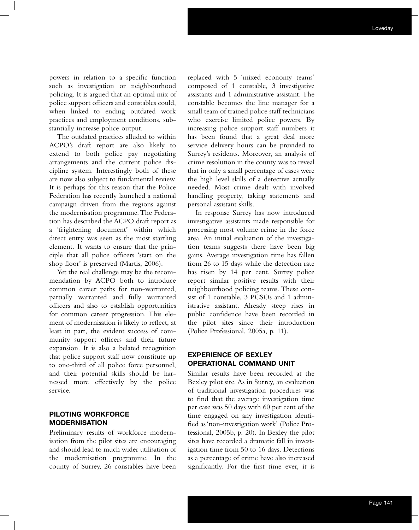powers in relation to a specific function such as investigation or neighbourhood policing. It is argued that an optimal mix of police support officers and constables could, when linked to ending outdated work practices and employment conditions, substantially increase police output.

The outdated practices alluded to within ACPO's draft report are also likely to extend to both police pay negotiating arrangements and the current police discipline system. Interestingly both of these are now also subject to fundamental review. It is perhaps for this reason that the Police Federation has recently launched a national campaign driven from the regions against the modernisation programme. The Federation has described the ACPO draft report as a 'frightening document' within which direct entry was seen as the most startling element. It wants to ensure that the principle that all police officers 'start on the shop floor' is preserved (Martis, 2006).

Yet the real challenge may be the recommendation by ACPO both to introduce common career paths for non-warranted, partially warranted and fully warranted officers and also to establish opportunities for common career progression. This element of modernisation is likely to reflect, at least in part, the evident success of community support officers and their future expansion. It is also a belated recognition that police support staff now constitute up to one-third of all police force personnel, and their potential skills should be harnessed more effectively by the police service.

# **PILOTING WORKFORCE MODERNISATION**

Preliminary results of workforce modernisation from the pilot sites are encouraging and should lead to much wider utilisation of the modernisation programme. In the county of Surrey, 26 constables have been

replaced with 5 'mixed economy teams' composed of 1 constable, 3 investigative assistants and 1 administrative assistant. The constable becomes the line manager for a small team of trained police staff technicians who exercise limited police powers. By increasing police support staff numbers it has been found that a great deal more service delivery hours can be provided to Surrey's residents. Moreover, an analysis of crime resolution in the county was to reveal that in only a small percentage of cases were the high level skills of a detective actually needed. Most crime dealt with involved handling property, taking statements and personal assistant skills.

In response Surrey has now introduced investigative assistants made responsible for processing most volume crime in the force area. An initial evaluation of the investigation teams suggests there have been big gains. Average investigation time has fallen from 26 to 15 days while the detection rate has risen by 14 per cent. Surrey police report similar positive results with their neighbourhood policing teams. These consist of 1 constable, 3 PCSOs and 1 administrative assistant. Already steep rises in public confidence have been recorded in the pilot sites since their introduction (Police Professional, 2005a, p. 11).

### **EXPERIENCE OF BEXLEY OPERATIONAL COMMAND UNIT**

Similar results have been recorded at the Bexley pilot site. As in Surrey, an evaluation of traditional investigation procedures was to find that the average investigation time per case was 50 days with 60 per cent of the time engaged on any investigation identified as 'non-investigation work' (Police Professional, 2005b, p. 20). In Bexley the pilot sites have recorded a dramatic fall in investigation time from 50 to 16 days. Detections as a percentage of crime have also increased significantly. For the first time ever, it is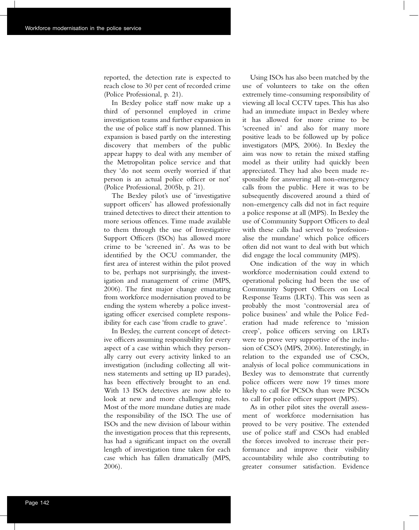reported, the detection rate is expected to reach close to 30 per cent of recorded crime (Police Professional, p. 21).

In Bexley police staff now make up a third of personnel employed in crime investigation teams and further expansion in the use of police staff is now planned. This expansion is based partly on the interesting discovery that members of the public appear happy to deal with any member of the Metropolitan police service and that they 'do not seem overly worried if that person is an actual police officer or not' (Police Professional, 2005b, p. 21).

The Bexley pilot's use of 'investigative support officers' has allowed professionally trained detectives to direct their attention to more serious offences. Time made available to them through the use of Investigative Support Officers (ISOs) has allowed more crime to be 'screened in'. As was to be identified by the OCU commander, the first area of interest within the pilot proved to be, perhaps not surprisingly, the investigation and management of crime (MPS, 2006). The first major change emanating from workforce modernisation proved to be ending the system whereby a police investigating officer exercised complete responsibility for each case 'from cradle to grave'.

In Bexley, the current concept of detective officers assuming responsibility for every aspect of a case within which they personally carry out every activity linked to an investigation (including collecting all witness statements and setting up ID parades), has been effectively brought to an end. With 13 ISOs detectives are now able to look at new and more challenging roles. Most of the more mundane duties are made the responsibility of the ISO. The use of ISOs and the new division of labour within the investigation process that this represents, has had a significant impact on the overall length of investigation time taken for each case which has fallen dramatically (MPS, 2006).

Using ISOs has also been matched by the use of volunteers to take on the often extremely time-consuming responsibility of viewing all local CCTV tapes. This has also had an immediate impact in Bexley where it has allowed for more crime to be 'screened in' and also for many more positive leads to be followed up by police investigators (MPS, 2006). In Bexley the aim was now to retain the mixed staffing model as their utility had quickly been appreciated. They had also been made responsible for answering all non-emergency calls from the public. Here it was to be subsequently discovered around a third of non-emergency calls did not in fact require a police response at all (MPS). In Bexley the use of Community Support Officers to deal with these calls had served to 'professionalise the mundane' which police officers often did not want to deal with but which did engage the local community (MPS).

One indication of the way in which workforce modernisation could extend to operational policing had been the use of Community Support Officers on Local Response Teams (LRTs). This was seen as probably the most 'controversial area of police business' and while the Police Federation had made reference to 'mission creep', police officers serving on LRTs were to prove very supportive of the inclusion of CSO's (MPS, 2006). Interestingly, in relation to the expanded use of CSOs, analysis of local police communications in Bexley was to demonstrate that currently police officers were now 19 times more likely to call for PCSOs than were PCSOs to call for police officer support (MPS).

As in other pilot sites the overall assessment of workforce modernisation has proved to be very positive. The extended use of police staff and CSOs had enabled the forces involved to increase their performance and improve their visibility accountability while also contributing to greater consumer satisfaction. Evidence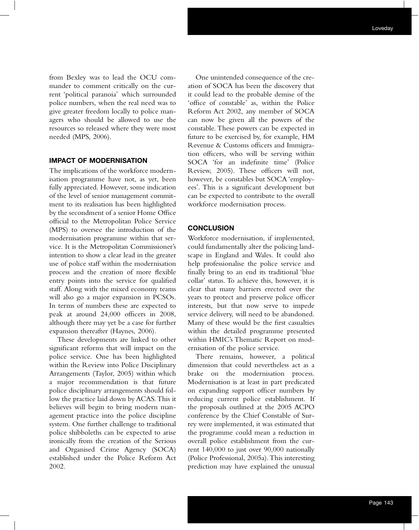from Bexley was to lead the OCU commander to comment critically on the current 'political paranoia' which surrounded police numbers, when the real need was to give greater freedom locally to police managers who should be allowed to use the resources so released where they were most needed (MPS, 2006).

#### **IMPACT OF MODERNISATION**

The implications of the workforce modernisation programme have not, as yet, been fully appreciated. However, some indication of the level of senior management commitment to its realisation has been highlighted by the secondment of a senior Home Office official to the Metropolitan Police Service (MPS) to oversee the introduction of the modernisation programme within that service. It is the Metropolitan Commissioner's intention to show a clear lead in the greater use of police staff within the modernisation process and the creation of more flexible entry points into the service for qualified staff. Along with the mixed economy teams will also go a major expansion in PCSOs. In terms of numbers these are expected to peak at around 24,000 officers in 2008, although there may yet be a case for further expansion thereafter (Haynes, 2006).

These developments are linked to other significant reforms that will impact on the police service. One has been highlighted within the Review into Police Disciplinary Arrangements (Taylor, 2005) within which a major recommendation is that future police disciplinary arrangements should follow the practice laid down by ACAS. This it believes will begin to bring modern management practice into the police discipline system. One further challenge to traditional police shibboleths can be expected to arise ironically from the creation of the Serious and Organised Crime Agency (SOCA) established under the Police Reform Act 2002.

One unintended consequence of the creation of SOCA has been the discovery that it could lead to the probable demise of the 'office of constable' as, within the Police Reform Act 2002, any member of SOCA can now be given all the powers of the constable. These powers can be expected in future to be exercised by, for example, HM Revenue & Customs officers and Immigration officers, who will be serving within SOCA 'for an indefinite time' (Police Review, 2005). These officers will not, however, be constables but SOCA 'employees'. This is a significant development but can be expected to contribute to the overall workforce modernisation process.

#### **CONCLUSION**

Workforce modernisation, if implemented, could fundamentally alter the policing landscape in England and Wales. It could also help professionalise the police service and finally bring to an end its traditional 'blue collar' status. To achieve this, however, it is clear that many barriers erected over the years to protect and preserve police officer interests, but that now serve to impede service delivery, will need to be abandoned. Many of these would be the first casualties within the detailed programme presented within HMIC's Thematic Report on modernisation of the police service.

There remains, however, a political dimension that could nevertheless act as a brake on the modernisation process. Modernisation is at least in part predicated on expanding support officer numbers by reducing current police establishment. If the proposals outlined at the 2005 ACPO conference by the Chief Constable of Surrey were implemented, it was estimated that the programme could mean a reduction in overall police establishment from the current 140,000 to just over 90,000 nationally (Police Professional, 2005a). This interesting prediction may have explained the unusual